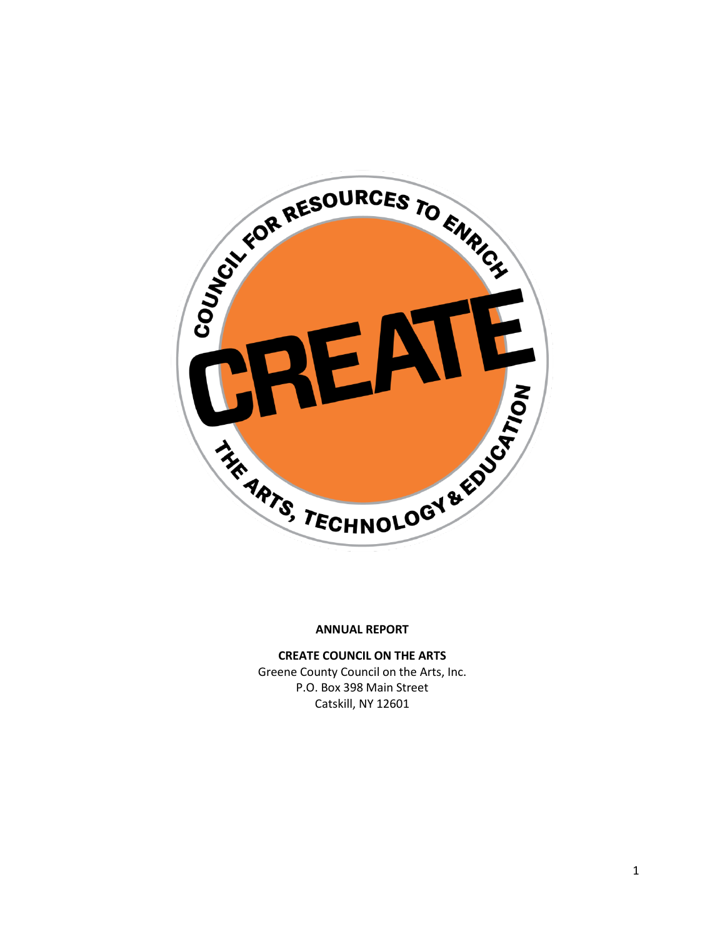

**CREATE COUNCIL ON THE ARTS** Greene County Council on the Arts, Inc. P.O. Box 398 Main Street

Catskill, NY 12601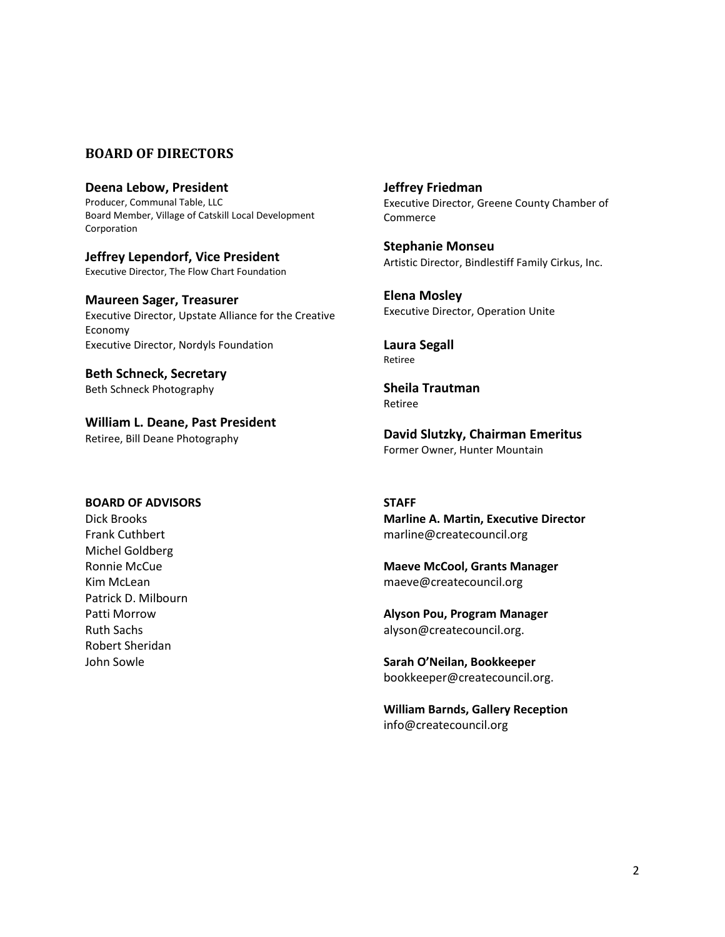#### **BOARD OF DIRECTORS**

**Deena Lebow, President** Producer, Communal Table, LLC Board Member, Village of Catskill Local Development Corporation

**Jeffrey Lependorf, Vice President** Executive Director, The Flow Chart Foundation

**Maureen Sager, Treasurer** Executive Director, Upstate Alliance for the Creative Economy Executive Director, Nordyls Foundation

**Beth Schneck, Secretary** Beth Schneck Photography

**William L. Deane, Past President** Retiree, Bill Deane Photography

**Jeffrey Friedman** Executive Director, Greene County Chamber of Commerce

**Stephanie Monseu** Artistic Director, Bindlestiff Family Cirkus, Inc.

**Elena Mosley** Executive Director, Operation Unite

**Laura Segall** Retiree

**Sheila Trautman** Retiree

**David Slutzky, Chairman Emeritus** Former Owner, Hunter Mountain

#### **BOARD OF ADVISORS**

Dick Brooks Frank Cuthbert Michel Goldberg Ronnie McCue Kim McLean Patrick D. Milbourn Patti Morrow Ruth Sachs Robert Sheridan John Sowle

**STAFF Marline A. Martin, Executive Director** marline@createcouncil.org

**Maeve McCool, Grants Manager** maeve@createcouncil.org

**Alyson Pou, Program Manager** alyson@createcouncil.org.

**Sarah O'Neilan, Bookkeeper** bookkeeper@createcouncil.org.

**William Barnds, Gallery Reception** info@createcouncil.org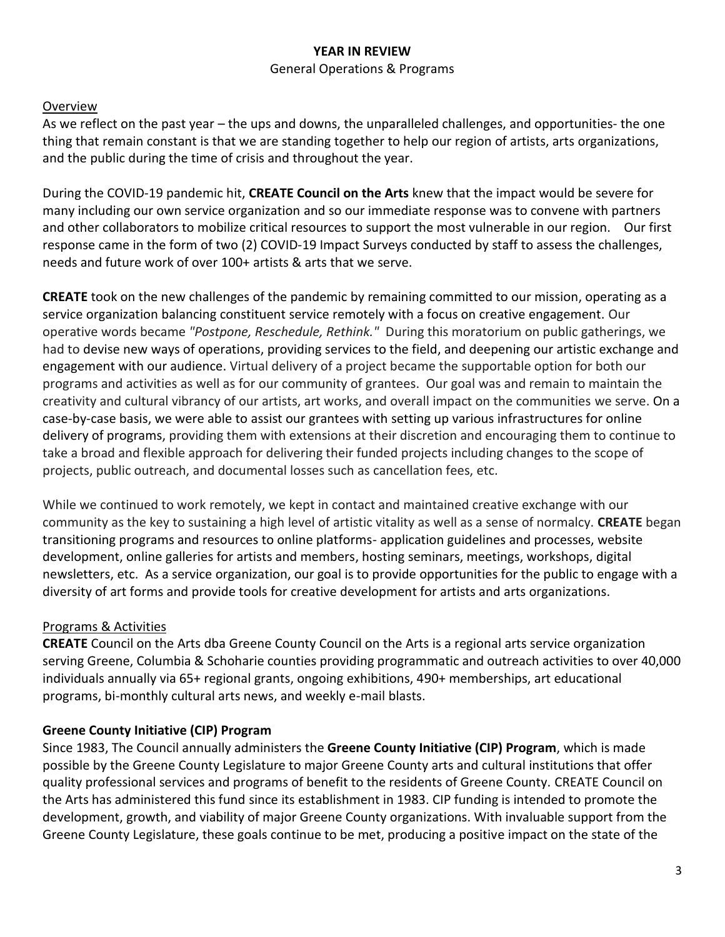## **YEAR IN REVIEW**

#### General Operations & Programs

## Overview

As we reflect on the past year – the ups and downs, the unparalleled challenges, and opportunities- the one thing that remain constant is that we are standing together to help our region of artists, arts organizations, and the public during the time of crisis and throughout the year.

During the COVID-19 pandemic hit, **CREATE Council on the Arts** knew that the impact would be severe for many including our own service organization and so our immediate response was to convene with partners and other collaborators to mobilize critical resources to support the most vulnerable in our region. Our first response came in the form of two (2) COVID-19 Impact Surveys conducted by staff to assess the challenges, needs and future work of over 100+ artists & arts that we serve.

**CREATE** took on the new challenges of the pandemic by remaining committed to our mission, operating as a service organization balancing constituent service remotely with a focus on creative engagement. Our operative words became *"Postpone, Reschedule, Rethink."* During this moratorium on public gatherings, we had to devise new ways of operations, providing services to the field, and deepening our artistic exchange and engagement with our audience. Virtual delivery of a project became the supportable option for both our programs and activities as well as for our community of grantees. Our goal was and remain to maintain the creativity and cultural vibrancy of our artists, art works, and overall impact on the communities we serve. On a case-by-case basis, we were able to assist our grantees with setting up various infrastructures for online delivery of programs, providing them with extensions at their discretion and encouraging them to continue to take a broad and flexible approach for delivering their funded projects including changes to the scope of projects, public outreach, and documental losses such as cancellation fees, etc.

While we continued to work remotely, we kept in contact and maintained creative exchange with our community as the key to sustaining a high level of artistic vitality as well as a sense of normalcy. **CREATE** began transitioning programs and resources to online platforms- application guidelines and processes, website development, online galleries for artists and members, hosting seminars, meetings, workshops, digital newsletters, etc. As a service organization, our goal is to provide opportunities for the public to engage with a diversity of art forms and provide tools for creative development for artists and arts organizations.

## Programs & Activities

**CREATE** Council on the Arts dba Greene County Council on the Arts is a regional arts service organization serving Greene, Columbia & Schoharie counties providing programmatic and outreach activities to over 40,000 individuals annually via 65+ regional grants, ongoing exhibitions, 490+ memberships, art educational programs, bi-monthly cultural arts news, and weekly e-mail blasts.

## **Greene County Initiative (CIP) Program**

Since 1983, The Council annually administers the **Greene County Initiative (CIP) Program**, which is made possible by the Greene County Legislature to major Greene County arts and cultural institutions that offer quality professional services and programs of benefit to the residents of Greene County. CREATE Council on the Arts has administered this fund since its establishment in 1983. CIP funding is intended to promote the development, growth, and viability of major Greene County organizations. With invaluable support from the Greene County Legislature, these goals continue to be met, producing a positive impact on the state of the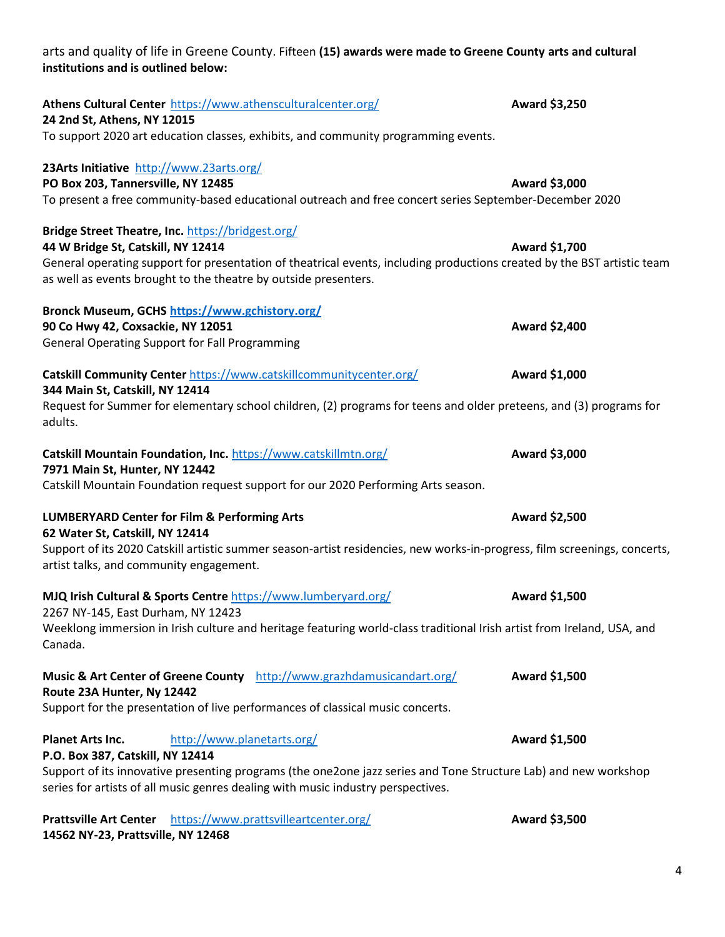| 44 W Bridge St, Catskill, NY 12414                                                                                                                  | Award \$1,700 |
|-----------------------------------------------------------------------------------------------------------------------------------------------------|---------------|
| General operating support for presentation of theatrical events, including productions created by the BST artistic team                             |               |
| as well as events brought to the theatre by outside presenters.                                                                                     |               |
|                                                                                                                                                     |               |
| Bronck Museum, GCHS https://www.gchistory.org/                                                                                                      |               |
| 90 Co Hwy 42, Coxsackie, NY 12051                                                                                                                   | Award \$2,400 |
| <b>General Operating Support for Fall Programming</b>                                                                                               |               |
| Catskill Community Center https://www.catskillcommunitycenter.org/                                                                                  | Award \$1,000 |
| 344 Main St, Catskill, NY 12414                                                                                                                     |               |
| Request for Summer for elementary school children, (2) programs for teens and older preteens, and (3) programs for                                  |               |
| adults.                                                                                                                                             |               |
|                                                                                                                                                     |               |
| Catskill Mountain Foundation, Inc. https://www.catskillmtn.org/                                                                                     | Award \$3,000 |
| 7971 Main St, Hunter, NY 12442                                                                                                                      |               |
| Catskill Mountain Foundation request support for our 2020 Performing Arts season.                                                                   |               |
| <b>LUMBERYARD Center for Film &amp; Performing Arts</b>                                                                                             | Award \$2,500 |
| 62 Water St, Catskill, NY 12414                                                                                                                     |               |
| Support of its 2020 Catskill artistic summer season-artist residencies, new works-in-progress, film screenings, concerts,                           |               |
| artist talks, and community engagement.                                                                                                             |               |
|                                                                                                                                                     |               |
| MJQ Irish Cultural & Sports Centre https://www.lumberyard.org/                                                                                      | Award \$1,500 |
| 2267 NY-145, East Durham, NY 12423                                                                                                                  |               |
| Weeklong immersion in Irish culture and heritage featuring world-class traditional Irish artist from Ireland, USA, and<br>Canada.                   |               |
|                                                                                                                                                     |               |
| Music & Art Center of Greene County http://www.grazhdamusicandart.org/                                                                              | Award \$1,500 |
| Route 23A Hunter, Ny 12442                                                                                                                          |               |
| Support for the presentation of live performances of classical music concerts.                                                                      |               |
|                                                                                                                                                     | Award \$1,500 |
| <b>Planet Arts Inc.</b><br>http://www.planetarts.org/                                                                                               |               |
| P.O. Box 387, Catskill, NY 12414<br>Support of its innovative presenting programs (the one2one jazz series and Tone Structure Lab) and new workshop |               |
| series for artists of all music genres dealing with music industry perspectives.                                                                    |               |
|                                                                                                                                                     |               |
| <b>Prattsville Art Center</b> https://www.prattsvilleartcenter.org/                                                                                 | Award \$3,500 |
| 14562 NY-23, Prattsville, NY 12468                                                                                                                  |               |
|                                                                                                                                                     |               |
|                                                                                                                                                     |               |

## arts and quality of life in Greene County. Fifteen **(15) awards were made to Greene County arts and cultural institutions and is outlined below:**

Athens Cultural Center <https://www.athensculturalcenter.org/> **Award \$3,250** 

**PO Box 203, Tannersville, NY 12485 Award \$3,000 Award \$3,000** To present a free community-based educational outreach and free concert series September-December 2020

To support 2020 art education classes, exhibits, and community programming events.

**24 2nd St, Athens, NY 12015**

**23Arts Initiative** <http://www.23arts.org/>

**Bridge Street Theatre, Inc.** <https://bridgest.org/>

4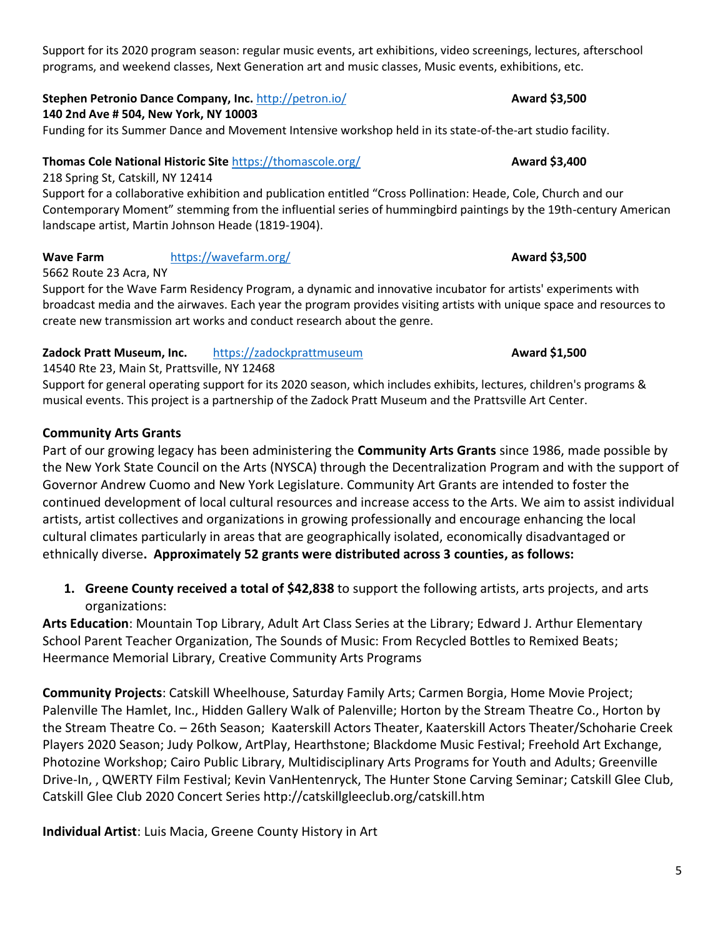Support for its 2020 program season: regular music events, art exhibitions, video screenings, lectures, afterschool programs, and weekend classes, Next Generation art and music classes, Music events, exhibitions, etc.

## **Stephen Petronio Dance Company, Inc. <http://petron.io/> <b>Award \$3,500 Award \$3,500**

## **140 2nd Ave # 504, New York, NY 10003**

Funding for its Summer Dance and Movement Intensive workshop held in its state-of-the-art studio facility.

## **Thomas Cole National Historic Site <https://thomascole.org/> <b>Award \$3,400 Award \$3,400**

218 Spring St, Catskill, NY 12414

Support for a collaborative exhibition and publication entitled "Cross Pollination: Heade, Cole, Church and our Contemporary Moment" stemming from the influential series of hummingbird paintings by the 19th-century American landscape artist, Martin Johnson Heade (1819-1904).

# **Wave Farm <https://wavefarm.org/> <b>Award \$3,500**

5662 Route 23 Acra, NY Support for the Wave Farm Residency Program, a dynamic and innovative incubator for artists' experiments with broadcast media and the airwaves. Each year the program provides visiting artists with unique space and resources to create new transmission art works and conduct research about the genre.

# **Zadock Pratt Museum, Inc.** [https://zadockprattmuseum](https://zadockprattmuseum/) **Award Award** \$1,500

14540 Rte 23, Main St, Prattsville, NY 12468

Support for general operating support for its 2020 season, which includes exhibits, lectures, children's programs & musical events. This project is a partnership of the Zadock Pratt Museum and the Prattsville Art Center.

# **Community Arts Grants**

Part of our growing legacy has been administering the **Community Arts Grants** since 1986, made possible by the New York State Council on the Arts (NYSCA) through the Decentralization Program and with the support of Governor Andrew Cuomo and New York Legislature. Community Art Grants are intended to foster the continued development of local cultural resources and increase access to the Arts. We aim to assist individual artists, artist collectives and organizations in growing professionally and encourage enhancing the local cultural climates particularly in areas that are geographically isolated, economically disadvantaged or ethnically diverse**. Approximately 52 grants were distributed across 3 counties, as follows:** 

**1. Greene County received a total of \$42,838** to support the following artists, arts projects, and arts organizations:

**Arts Education**: Mountain Top Library, Adult Art Class Series at the Library; Edward J. Arthur Elementary School Parent Teacher Organization, The Sounds of Music: From Recycled Bottles to Remixed Beats; Heermance Memorial Library, Creative Community Arts Programs

**Community Projects**: Catskill Wheelhouse, Saturday Family Arts; Carmen Borgia, Home Movie Project; Palenville The Hamlet, Inc., Hidden Gallery Walk of Palenville; Horton by the Stream Theatre Co., Horton by the Stream Theatre Co. – 26th Season; Kaaterskill Actors Theater, Kaaterskill Actors Theater/Schoharie Creek Players 2020 Season; Judy Polkow, ArtPlay, Hearthstone; Blackdome Music Festival; Freehold Art Exchange, Photozine Workshop; Cairo Public Library, Multidisciplinary Arts Programs for Youth and Adults; Greenville Drive-In, , QWERTY Film Festival; Kevin VanHentenryck, The Hunter Stone Carving Seminar; Catskill Glee Club, Catskill Glee Club 2020 Concert Series http://catskillgleeclub.org/catskill.htm

**Individual Artist**: Luis Macia, Greene County History in Art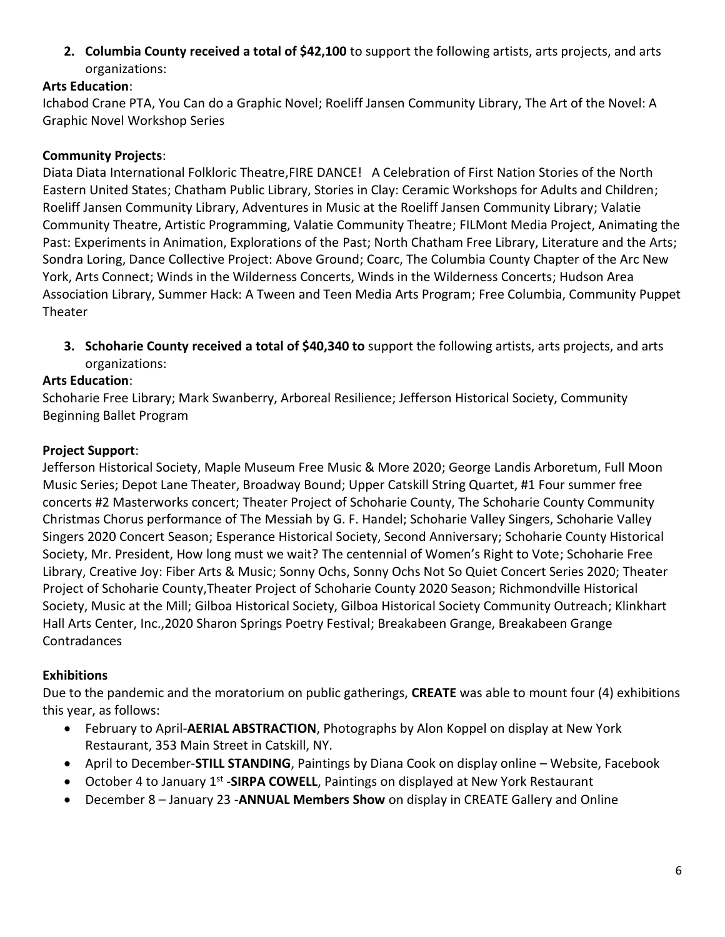**2. Columbia County received a total of \$42,100** to support the following artists, arts projects, and arts organizations:

## **Arts Education**:

Ichabod Crane PTA, You Can do a Graphic Novel; Roeliff Jansen Community Library, The Art of the Novel: A Graphic Novel Workshop Series

## **Community Projects**:

Diata Diata International Folkloric Theatre,FIRE DANCE! A Celebration of First Nation Stories of the North Eastern United States; Chatham Public Library, Stories in Clay: Ceramic Workshops for Adults and Children; Roeliff Jansen Community Library, Adventures in Music at the Roeliff Jansen Community Library; Valatie Community Theatre, Artistic Programming, Valatie Community Theatre; FILMont Media Project, Animating the Past: Experiments in Animation, Explorations of the Past; North Chatham Free Library, Literature and the Arts; Sondra Loring, Dance Collective Project: Above Ground; Coarc, The Columbia County Chapter of the Arc New York, Arts Connect; Winds in the Wilderness Concerts, Winds in the Wilderness Concerts; Hudson Area Association Library, Summer Hack: A Tween and Teen Media Arts Program; Free Columbia, Community Puppet Theater

**3. Schoharie County received a total of \$40,340 to** support the following artists, arts projects, and arts organizations:

# **Arts Education**:

Schoharie Free Library; Mark Swanberry, Arboreal Resilience; Jefferson Historical Society, Community Beginning Ballet Program

## **Project Support**:

Jefferson Historical Society, Maple Museum Free Music & More 2020; George Landis Arboretum, Full Moon Music Series; Depot Lane Theater, Broadway Bound; Upper Catskill String Quartet, #1 Four summer free concerts #2 Masterworks concert; Theater Project of Schoharie County, The Schoharie County Community Christmas Chorus performance of The Messiah by G. F. Handel; Schoharie Valley Singers, Schoharie Valley Singers 2020 Concert Season; Esperance Historical Society, Second Anniversary; Schoharie County Historical Society, Mr. President, How long must we wait? The centennial of Women's Right to Vote; Schoharie Free Library, Creative Joy: Fiber Arts & Music; Sonny Ochs, Sonny Ochs Not So Quiet Concert Series 2020; Theater Project of Schoharie County,Theater Project of Schoharie County 2020 Season; Richmondville Historical Society, Music at the Mill; Gilboa Historical Society, Gilboa Historical Society Community Outreach; Klinkhart Hall Arts Center, Inc.,2020 Sharon Springs Poetry Festival; Breakabeen Grange, Breakabeen Grange Contradances

# **Exhibitions**

Due to the pandemic and the moratorium on public gatherings, **CREATE** was able to mount four (4) exhibitions this year, as follows:

- February to April-**AERIAL ABSTRACTION**, Photographs by Alon Koppel on display at New York Restaurant, 353 Main Street in Catskill, NY.
- April to December-**STILL STANDING**, Paintings by Diana Cook on display online Website, Facebook
- October 4 to January 1<sup>st</sup> SIRPA COWELL, Paintings on displayed at New York Restaurant
- December 8 January 23 -**ANNUAL Members Show** on display in CREATE Gallery and Online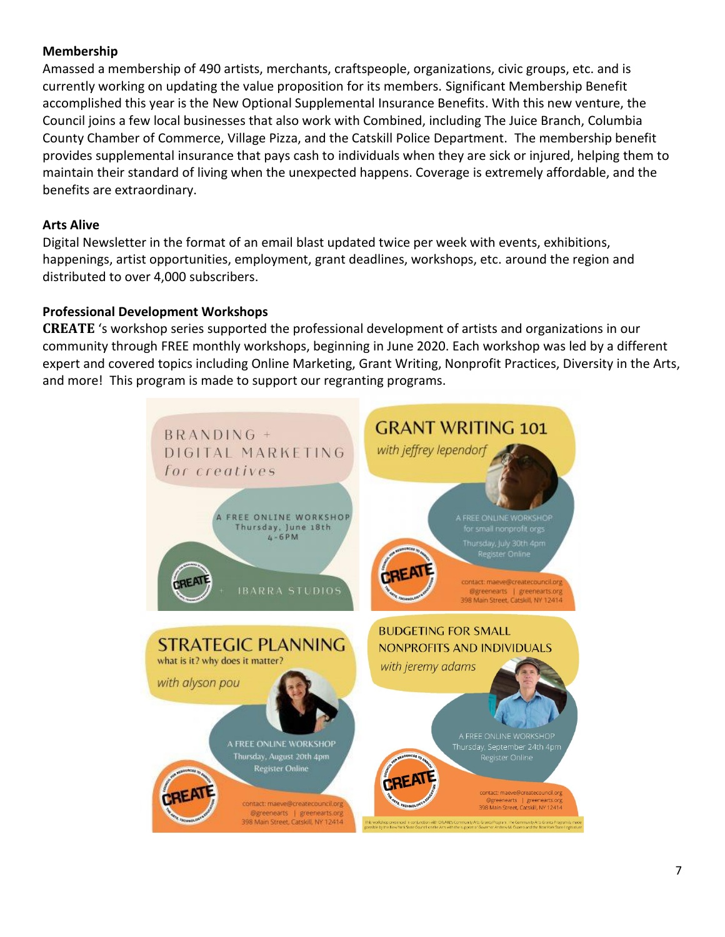## **Membership**

Amassed a membership of 490 artists, merchants, craftspeople, organizations, civic groups, etc. and is currently working on updating the value proposition for its members. Significant Membership Benefit accomplished this year is the New Optional Supplemental Insurance Benefits. With this new venture, the Council joins a few local businesses that also work with Combined, including The Juice Branch, Columbia County Chamber of Commerce, Village Pizza, and the Catskill Police Department. The membership benefit provides supplemental insurance that pays cash to individuals when they are sick or injured, helping them to maintain their standard of living when the unexpected happens. Coverage is extremely affordable, and the benefits are extraordinary.

## **Arts Alive**

Digital Newsletter in the format of an email blast updated twice per week with events, exhibitions, happenings, artist opportunities, employment, grant deadlines, workshops, etc. around the region and distributed to over 4,000 subscribers.

## **Professional Development Workshops**

**CREATE** 's workshop series supported the professional development of artists and organizations in our community through FREE monthly workshops, beginning in June 2020. Each workshop was led by a different expert and covered topics including Online Marketing, Grant Writing, Nonprofit Practices, Diversity in the Arts, and more! This program is made to support our regranting programs.